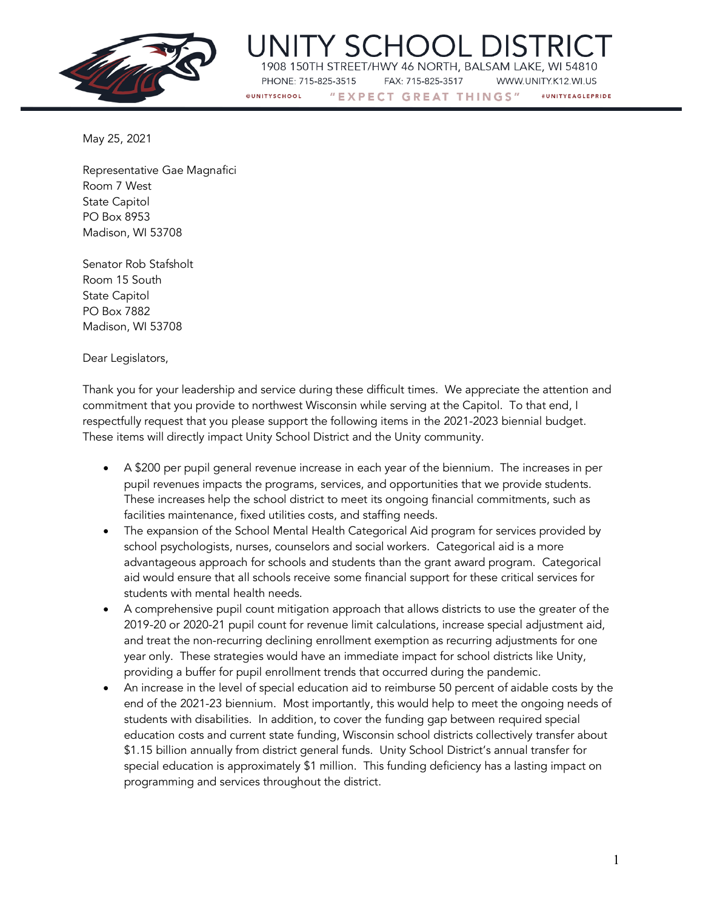

1908 150TH STREET/HWY 46 NORTH, BALSAM LAKE, WI 54810 PHONE: 715-825-3515 FAX: 715-825-3517 WWW.UNITY.K12.WI.US **QUNITYSCHOOL** #UNITYFAGLEPRIDE

"EXPECT GREAT THINGS"

May 25, 2021

Representative Gae Magnafici Room 7 West State Capitol PO Box 8953 Madison, WI 53708

Senator Rob Stafsholt Room 15 South State Capitol PO Box 7882 Madison, WI 53708

Dear Legislators,

Thank you for your leadership and service during these difficult times. We appreciate the attention and commitment that you provide to northwest Wisconsin while serving at the Capitol. To that end, I respectfully request that you please support the following items in the 2021-2023 biennial budget. These items will directly impact Unity School District and the Unity community.

- A \$200 per pupil general revenue increase in each year of the biennium. The increases in per pupil revenues impacts the programs, services, and opportunities that we provide students. These increases help the school district to meet its ongoing financial commitments, such as facilities maintenance, fixed utilities costs, and staffing needs.
- The expansion of the School Mental Health Categorical Aid program for services provided by school psychologists, nurses, counselors and social workers. Categorical aid is a more advantageous approach for schools and students than the grant award program. Categorical aid would ensure that all schools receive some financial support for these critical services for students with mental health needs.
- A comprehensive pupil count mitigation approach that allows districts to use the greater of the 2019-20 or 2020-21 pupil count for revenue limit calculations, increase special adjustment aid, and treat the non-recurring declining enrollment exemption as recurring adjustments for one year only. These strategies would have an immediate impact for school districts like Unity, providing a buffer for pupil enrollment trends that occurred during the pandemic.
- An increase in the level of special education aid to reimburse 50 percent of aidable costs by the end of the 2021-23 biennium. Most importantly, this would help to meet the ongoing needs of students with disabilities. In addition, to cover the funding gap between required special education costs and current state funding, Wisconsin school districts collectively transfer about \$1.15 billion annually from district general funds. Unity School District's annual transfer for special education is approximately \$1 million. This funding deficiency has a lasting impact on programming and services throughout the district.